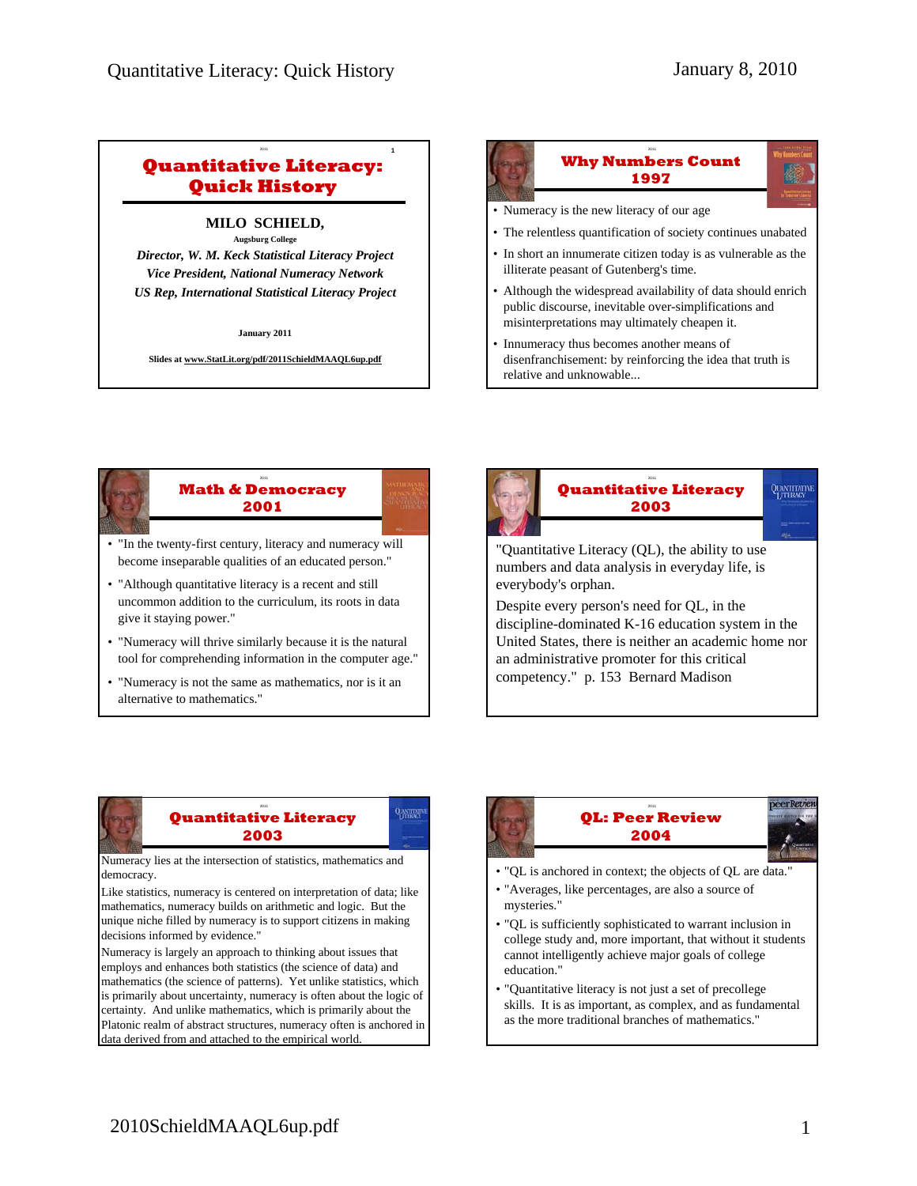# **Quantitative Literacy: Quick History**

<sup>2011</sup> **1**

### **MILO SCHIELD, Augsburg College**

*Director, W. M. Keck Statistical Literacy Project Vice President, National Numeracy Network US Rep, International Statistical Literacy Project*

**January 2011**

**Slides at www.StatLit.org/pdf/2011SchieldMAAQL6up.pdf**

### <sup>2011</sup> **2 Why Numbers Count 1997** • Numeracy is the new literacy of our age • The relentless quantification of society continues unabated • In short an innumerate citizen today is as vulnerable as the illiterate peasant of Gutenberg's time. • Although the widespread availability of data should enrich public discourse, inevitable over-simplifications and misinterpretations may ultimately cheapen it. • Innumeracy thus becomes another means of

disenfranchisement: by reinforcing the idea that truth is

relative and unknowable...

- <sup>2011</sup> **3 Math & Democracy 2001**
- "In the twenty-first century, literacy and numeracy will become inseparable qualities of an educated person."
- "Although quantitative literacy is a recent and still uncommon addition to the curriculum, its roots in data give it staying power."
- "Numeracy will thrive similarly because it is the natural tool for comprehending information in the computer age."
- "Numeracy is not the same as mathematics, nor is it an alternative to mathematics."



United States, there is neither an academic home nor an administrative promoter for this critical competency." p. 153 Bernard Madison

#### <sup>2011</sup> **5 Quantitative Literacy 2003**

Numeracy lies at the intersection of statistics, mathematics and democracy.

Like statistics, numeracy is centered on interpretation of data; like mathematics, numeracy builds on arithmetic and logic. But the unique niche filled by numeracy is to support citizens in making decisions informed by evidence."

Numeracy is largely an approach to thinking about issues that employs and enhances both statistics (the science of data) and mathematics (the science of patterns). Yet unlike statistics, which is primarily about uncertainty, numeracy is often about the logic of certainty. And unlike mathematics, which is primarily about the Platonic realm of abstract structures, numeracy often is anchored in data derived from and attached to the empirical world.

### **QL: Peer Review 2004**



- "QL is anchored in context; the objects of QL are data."
- "Averages, like percentages, are also a source of mysteries."
- "QL is sufficiently sophisticated to warrant inclusion in college study and, more important, that without it students cannot intelligently achieve major goals of college education."
- "Quantitative literacy is not just a set of precollege skills. It is as important, as complex, and as fundamental as the more traditional branches of mathematics."